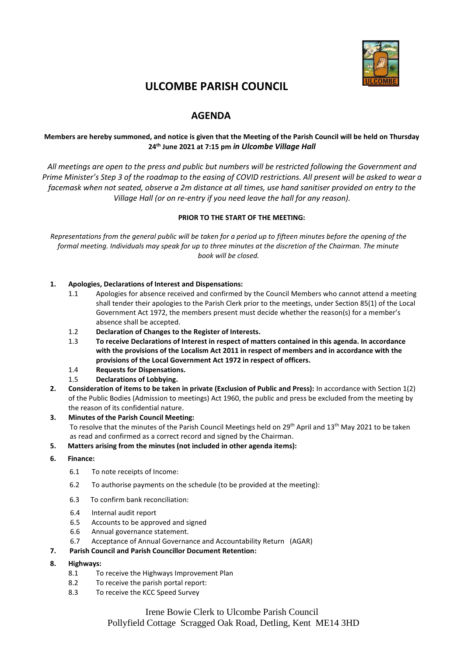

# **ULCOMBE PARISH COUNCIL**

# **AGENDA**

# **Members are hereby summoned, and notice is given that the Meeting of the Parish Council will be held on Thursday 24 th June 2021 at 7:15 pm** *in Ulcombe Village Hall*

*All meetings are open to the press and public but numbers will be restricted following the Government and Prime Minister's Step 3 of the roadmap to the easing of COVID restrictions. All present will be asked to wear a facemask when not seated, observe a 2m distance at all times, use hand sanitiser provided on entry to the Village Hall (or on re-entry if you need leave the hall for any reason).*

#### **PRIOR TO THE START OF THE MEETING:**

*Representations from the general public will be taken for a period up to fifteen minutes before the opening of the formal meeting. Individuals may speak for up to three minutes at the discretion of the Chairman. The minute book will be closed.*

#### **1. Apologies, Declarations of Interest and Dispensations:**

- 1.1 Apologies for absence received and confirmed by the Council Members who cannot attend a meeting shall tender their apologies to the Parish Clerk prior to the meetings, under Section 85(1) of the Local Government Act 1972, the members present must decide whether the reason(s) for a member's absence shall be accepted.
- 1.2 **Declaration of Changes to the Register of Interests.**
- 1.3 **To receive Declarations of Interest in respect of matters contained in this agenda. In accordance with the provisions of the Localism Act 2011 in respect of members and in accordance with the provisions of the Local Government Act 1972 in respect of officers.**
- 1.4 **Requests for Dispensations.**
- 1.5 **Declarations of Lobbying.**
- **2. Consideration of items to be taken in private (Exclusion of Public and Press):** In accordance with Section 1(2) of the Public Bodies (Admission to meetings) Act 1960, the public and press be excluded from the meeting by the reason of its confidential nature.
- **3. Minutes of the Parish Council Meeting:**  To resolve that the minutes of the Parish Council Meetings held on 29<sup>th</sup> April and 13<sup>th</sup> May 2021 to be taken as read and confirmed as a correct record and signed by the Chairman.
- **5. Matters arising from the minutes (not included in other agenda items):**
- **6. Finance:**
	- 6.1 To note receipts of Income:
	- 6.2 To authorise payments on the schedule (to be provided at the meeting):
	- 6.3 To confirm bank reconciliation:
	- 6.4 Internal audit report
	- 6.5 Accounts to be approved and signed
	- 6.6 Annual governance statement.
	- 6.7 Acceptance of Annual Governance and Accountability Return (AGAR)
- **7. Parish Council and Parish Councillor Document Retention:**
- **8. Highways:**
	- 8.1 To receive the Highways Improvement Plan
	- 8.2 To receive the parish portal report:
	- 8.3 To receive the KCC Speed Survey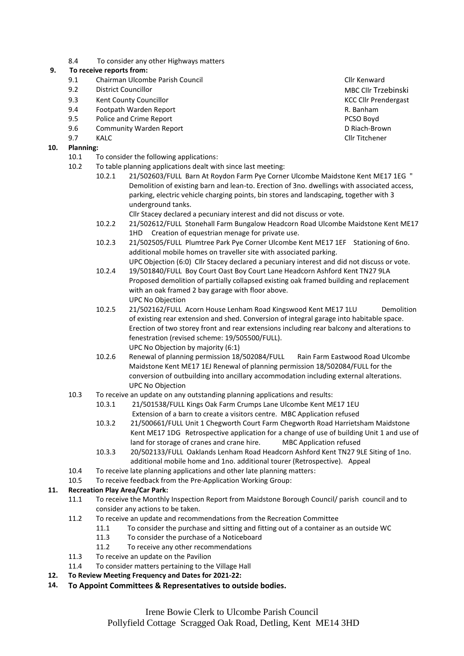8.4 To consider any other Highways matters

## **9. To receive reports from:**

- 9.1 Chairman Ulcombe Parish Council Cline Council Cline Cline Cline Cline Cline Cline Cline Cline Cline Cline
- 9.2 District Councillor MBC Clif Trzebinski
- 9.3 Kent County Councillor Company Councillor County Council County Council County Council County Council County Council County Council County Council County Council County Council County Council County Council County Coun
- 9.4 Footpath Warden Report **Example 2018** R. Banham<br>
2.5 Police and Crime Report **Report Studies Access PCSO Boyd**
- Police and Crime Report **PCSO Boyd** PCSO Boyd
- 9.6 Community Warden Report D Riach-Brown
- 9.7 KALC Cllr Titchener

# **10. Planning:**

- 10.1 To consider the following applications:
- 10.2 To table planning applications dealt with since last meeting:
	- 10.2.1 21/502603/FULL Barn At Roydon Farm Pye Corner Ulcombe Maidstone Kent ME17 1EG " Demolition of existing barn and lean-to. Erection of 3no. dwellings with associated access, parking, electric vehicle charging points, bin stores and landscaping, together with 3 underground tanks.
		- Cllr Stacey declared a pecuniary interest and did not discuss or vote.
	- 10.2.2 21/502612/FULL Stonehall Farm Bungalow Headcorn Road Ulcombe Maidstone Kent ME17 1HD Creation of equestrian menage for private use.
	- 10.2.3 21/502505/FULL Plumtree Park Pye Corner Ulcombe Kent ME17 1EF Stationing of 6no. additional mobile homes on traveller site with associated parking. UPC Objection (6:0) Cllr Stacey declared a pecuniary interest and did not discuss or vote.
	- 10.2.4 19/501840/FULL Boy Court Oast Boy Court Lane Headcorn Ashford Kent TN27 9LA Proposed demolition of partially collapsed existing oak framed building and replacement with an oak framed 2 bay garage with floor above. UPC No Objection
	- 10.2.5 21/502162/FULL Acorn House Lenham Road Kingswood Kent ME17 1LU Demolition of existing rear extension and shed. Conversion of integral garage into habitable space. Erection of two storey front and rear extensions including rear balcony and alterations to fenestration (revised scheme: 19/505500/FULL). UPC No Objection by majority (6:1)
	- 10.2.6 Renewal of planning permission 18/502084/FULL Rain Farm Eastwood Road Ulcombe Maidstone Kent ME17 1EJ Renewal of planning permission 18/502084/FULL for the conversion of outbuilding into ancillary accommodation including external alterations. UPC No Objection
- 10.3 To receive an update on any outstanding planning applications and results:
	- 10.3.1 21/501538/FULL Kings Oak Farm Crumps Lane Ulcombe Kent ME17 1EU Extension of a barn to create a visitors centre. MBC Application refused
	- 10.3.2 21/500661/FULL Unit 1 Chegworth Court Farm Chegworth Road Harrietsham Maidstone Kent ME17 1DG Retrospective application for a change of use of building Unit 1 and use of land for storage of cranes and crane hire. MBC Application refused
	- 10.3.3 20/502133/FULL Oaklands Lenham Road Headcorn Ashford Kent TN27 9LE Siting of 1no. additional mobile home and 1no. additional tourer (Retrospective). Appeal
- 10.4 To receive late planning applications and other late planning matters:
- 10.5 To receive feedback from the Pre-Application Working Group:

# **11. Recreation Play Area/Car Park:**

- 11.1 To receive the Monthly Inspection Report from Maidstone Borough Council/ parish council and to consider any actions to be taken.
- 11.2 To receive an update and recommendations from the Recreation Committee
	- 11.1 To consider the purchase and sitting and fitting out of a container as an outside WC
		- 11.3 To consider the purchase of a Noticeboard
	- 11.2 To receive any other recommendations
- 11.3 To receive an update on the Pavilion
- 11.4 To consider matters pertaining to the Village Hall
- **12. To Review Meeting Frequency and Dates for 2021-22:**
- **14. To Appoint Committees & Representatives to outside bodies.**

Irene Bowie Clerk to Ulcombe Parish Council Pollyfield Cottage Scragged Oak Road, Detling, Kent ME14 3HD